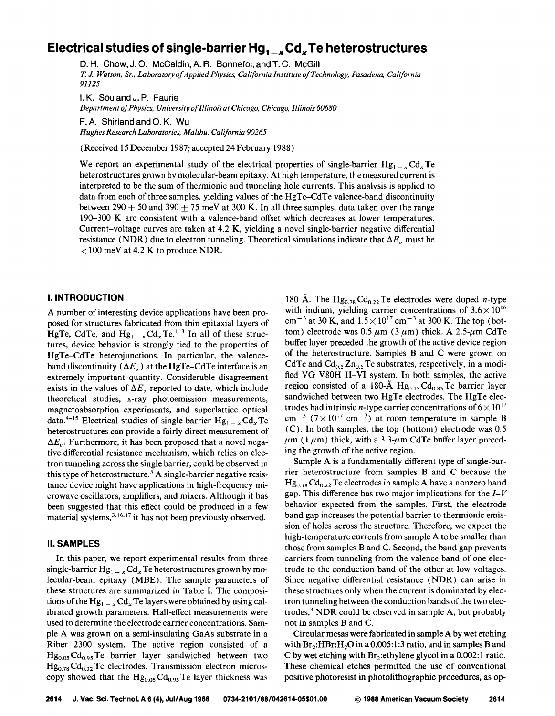# Electrical studies of single-barrier Hg<sub>1</sub> **Cd**<sub>x</sub> Te heterostructures

D. H. Chow, J. 0. McCaldin, A. R. Bonnefoi, and T. C. McGill *T.* J. *Watson, Sr., Laboratory of Applied Physics, California InstituteofTechnology, Pasadena, California 91125* 

I. K. Sou and J.P. Faurie *Department of Physics, University of Illinois at Chicago, Chicago, Illinois 60680* 

F. A. Shirland and 0. K. Wu *Hughes Research Laboratories, Malibu, California 90265* 

(Received 15 December 1987; accepted 24 February 1988)

We report an experimental study of the electrical properties of single-barrier  $Hg_{1-x} Cd_x Te$ heterostructures grown by molecular-beam epitaxy. At high temperature, the measured current is interpreted to be the sum of thermionic and tunneling hole currents. This analysis is applied to data from each of three samples, yielding values of the HgTe-CdTe valence-band discontinuity between 290  $+$  50 and 390  $+$  75 meV at 300 K. In all three samples, data taken over the range 190-300 K are consistent with a valence-band offset which decreases at lower temperatures. Current-voltage curves are taken at 4.2 K, yielding a novel single-barrier negative differential resistance (NDR) due to electron tunneling. Theoretical simulations indicate that  $\Delta E$ <sup>"</sup> must be < 100 meV at 4.2 K to produce NDR.

# I. **INTRODUCTION**

A number of interesting device applications have been proposed for structures fabricated from thin epitaxial layers of HgTe, CdTe, and  $Hg_{1-x}Cd_xTe$ . <sup>1-3</sup> In all of these structures, device behavior is strongly tied to the properties of HgTe-CdTe heterojunctions. In particular, the valenceband discontinuity ( $\Delta E_{\nu}$ ) at the HgTe-CdTe interface is an extremely important quantity. Considerable disagreement exists in the values of  $\Delta E_v$  reported to date, which include theoretical studies, x-ray photoemission measurements, magnetoabsorption experiments, and superlattice optical data.<sup>4-15</sup> Electrical studies of single-barrier  $Hg_{1-x}Cd_{x}Te$ heterostructures can provide a fairly direct measurement of  $\Delta E_{\nu}$ . Furthermore, it has been proposed that a novel negative differential resistance mechanism, which relies on electron tunneling across the single barrier, could be observed in this type of heterostructure.<sup>3</sup> A single-barrier negative resistance device might have applications in high-frequency microwave oscillators, amplifiers, and mixers. Although it has been suggested that this effect could be produced in a few material systems,<sup>3,16,17</sup> it has not been previously observed.

## II. **SAMPLES**

In this paper, we report experimental results from three single-barrier  $Hg_{1-x} Cd_x Te$  heterostructures grown by molecular-beam epitaxy (MBE). The sample parameters of these structures are summarized in Table I. The compositions of the Hg<sub>1 – *x*</sub> Cd<sub>*x*</sub> Te layers were obtained by using calibrated growth parameters. Hall-effect measurements were used to determine the electrode carrier concentrations. Sample A was grown on a semi-insulating GaAs substrate in a Riber 2300 system. The active region consisted of a  $Hg<sub>0.05</sub> Cd<sub>0.95</sub> Te barrier layer sandwiched between two$  $Hg_{0.78} Cd_{0.22}$  Te electrodes. Transmission electron microscopy showed that the  $Hg_{0.05}Cd_{0.95}Te$  layer thickness was

180 Å. The  $Hg_{0.78}Cd_{0.22}$  Te electrodes were doped *n*-type with indium, yielding carrier concentrations of  $3.6 \times 10^{16}$ cm<sup>-3</sup> at 30 K, and  $1.5 \times 10^{17}$  cm<sup>-3</sup> at 300 K. The top (bottom) electrode was 0.5  $\mu$ m (3  $\mu$ m) thick. A 2.5- $\mu$ m CdTe buffer layer preceded the growth of the active device region of the heterostructure. Samples B and C were grown on CdTe and  $Cd_{0.5}Zn_{0.5}$  Te substrates, respectively, in a modified VG V80H II-VI system. In both samples, the active region consisted of a 180-Å  $Hg<sub>0.15</sub>Cd<sub>0.85</sub>Te$  barrier layer sandwiched between two HgTe electrodes. The HgTe electrodes had intrinsic *n*-type carrier concentrations of  $6 \times 10^{17}$ cm<sup>-3</sup> ( $7\times10^{17}$  cm<sup>-3</sup>) at room temperature in sample B (C). In both samples, the top (bottom) electrode was 0.5  $\mu$ m (1  $\mu$ m) thick, with a 3.3- $\mu$ m CdTe buffer layer preceding the growth of the active region.

Sample A is a fundamentally different type of single-barrier heterostructure from samples B and C because the  $Hg_{0,78} Cd_{0,22}$  Te electrodes in sample A have a nonzero band gap. This difference has two major implications for the  $I-V$ behavior expected from the samples. First, the electrode band gap increases the potential barrier to thermionic emission of holes across the structure. Therefore, we expect the high-temperature currents from sample A to be smaller than those from samples B and C. Second, the band gap prevents carriers from tunneling from the valence band of one electrode to the conduction band of the other at low voltages. Since negative differential resistance (NDR) can arise in these structures only when the current is dominated by electron tunneling between the conduction bands of the two electrodes,<sup>3</sup> NDR could be observed in sample A, but probably not in samples B and C.

Circular mesas were fabricated in sample A by wet etching with  $Br_2:HBr:H_2O$  in a 0.005:1:3 ratio, and in samples B and C by wet etching with  $Br_2:$ ethylene glycol in a 0.002:1 ratio. These chemical etches permitted the use of conventional positive photoresist in photolithographic procedures, as op-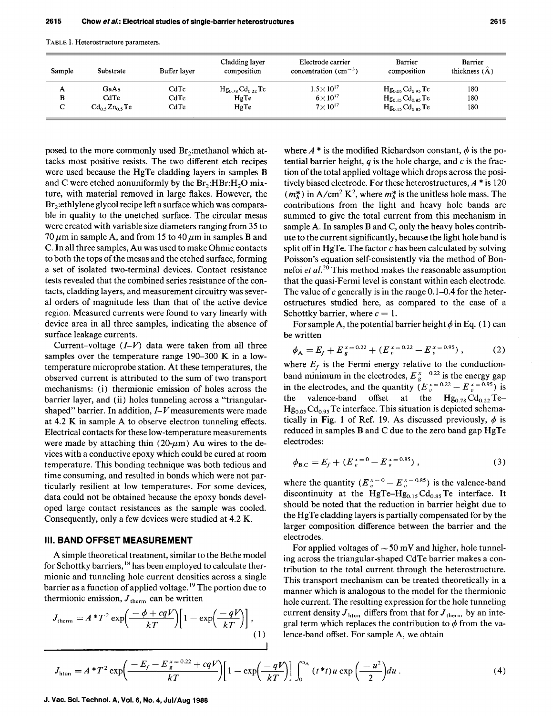TABLE I. Heterostructure parameters.

| Sample          | Substrate            | Buffer layer | Cladding layer<br>composition | Electrode carrier<br>concentration $\text{ (cm}^{-3}\text{)}$ | <b>Barrier</b><br>composition | Barrier<br>thickness $(\AA)$ |
|-----------------|----------------------|--------------|-------------------------------|---------------------------------------------------------------|-------------------------------|------------------------------|
| A               | GaAs                 | CdTe         | $Hg_{0.78}Cd_{0.22}Te$        | $1.5 \times 10^{17}$                                          | $Hg_{0.05}Cd_{0.95}Te$        | 180                          |
| в               | CdTe                 | CdTe         | HgTe                          | $6\times10^{17}$                                              | $Hg_{0.15}Cd_{0.85}Te$        | 180                          |
| $\sqrt{ }$<br>◡ | $Cd_0$ , $Zn_0$ , Te | CdTe         | HgTe                          | $7\times10^{17}$                                              | $Hg_{0,15}Cd_{0.85}Te$        | 180                          |

posed to the more commonly used  $Br_2$ : methanol which attacks most positive resists. The two different etch recipes were used because the HgTe cladding layers in samples B and C were etched nonuniformly by the  $Br_2:HBr:H_2O$  mixture, with material removed in large flakes. However, the  $Br<sub>2</sub>:ethylene glycol recipe left a surface which was compara$ ble in quality to the unetched surface. The circular mesas were created with variable size diameters ranging from 35 to 70  $\mu$ m in sample A, and from 15 to 40  $\mu$ m in samples B and C. In all three samples, Au was used to make Ohmic contacts to both the tops of the mesas and the etched surface, forming a set of isolated two-terminal devices. Contact resistance tests revealed that the combined series resistance of the contacts, cladding layers, and measurement circuitry was several orders of magnitude less than that of the active device region. Measured currents were found to vary linearly with device area in all three samples, indicating the absence of surface leakage currents.

Current-voltage *(I-V)* data were taken from all three samples over the temperature range 190-300 K in a lowtemperature microprobe station. At these temperatures, the observed current is attributed to the sum of two transport mechanisms: (i) thermionic emission of holes across the barrier layer, and (ii) holes tunneling across a "triangularshaped" barrier. In addition, *I-V* measurements were made at 4.2 K in sample A to observe electron tunneling effects. Electrical contacts for these low-temperature measurements were made by attaching thin (20- $\mu$ m) Au wires to the devices with a conductive epoxy which could be cured at room temperature. This bonding technique was both tedious and time consuming, and resulted in bonds which were not particularly resilient at low temperatures. For some devices, data could not be obtained because the epoxy bonds developed large contact resistances as the sample was cooled. Consequently, only a few devices were studied at 4.2 K.

## **Ill. BAND OFFSET MEASUREMENT**

A simple theoretical treatment, similar to the Bethe model for Schottky barriers, <sup>18</sup> has been employed to calculate thermionic and tunneling hole current densities across a single barrier as a function of applied voltage.<sup>19</sup> The portion due to thermionic emission,  $J_{therm}$  can be written

$$
J_{\text{therm}} = A * T^2 \exp\left(\frac{-\phi + cqV}{kT}\right) \left[1 - \exp\left(\frac{-qV}{kT}\right)\right],
$$
\n(1)

where  $A^*$  is the modified Richardson constant,  $\phi$  is the potential barrier height, *q* is the hole charge, and *c* is the fraction of the total applied voltage which drops across the positively biased electrode. For these heterostructures,  $A^*$  is 120  $(m_h^*)$  in A/cm<sup>2</sup> K<sup>2</sup>, where  $m_h^*$  is the unitless hole mass. The contributions from the light and heavy hole bands are summed to give the total current from this mechanism in sample A. In samples Band C, only the heavy holes contribute to the current significantly, because the light hole band is split off in HgTe. The factor *c* has been calculated by solving Poisson's equation self-consistently via the method of Bonnefoi *et a/.* 20 This method makes the reasonable assumption that the quasi-Fermi level is constant within each electrode. The value of *c* generally is in the range 0.1-0.4 for the heterostructures studied here, as compared to the case of a Schottky barrier, where  $c = 1$ .

For sample A, the potential barrier height  $\phi$  in Eq. (1) can be written

$$
\phi_{A} = E_f + E_g^{x=0.22} + (E_v^{x=0.22} - E_v^{x=0.95}), \qquad (2)
$$

where  $E_f$  is the Fermi energy relative to the conductionband minimum in the electrodes,  $E_{g}^{x} = 0.22$  is the energy gap in the electrodes, and the quantity  $(E_n^{x=0.22} - E_n^{x=0.95})$  is the valence-band offset at the  $Hg_{0.78}Cd_{0.22}Te Hg_{0.05}Cd_{0.95}$  Te interface. This situation is depicted schematically in Fig. 1 of Ref. 19. As discussed previously,  $\phi$  is reduced in samples Band C due to the zero band gap HgTe electrodes:

$$
\phi_{\rm B,C} = E_f + (E_v^{x=0} - E_v^{x=0.85}), \qquad (3)
$$

where the quantity  $(E_v^{x=0} - E_v^{x=0.85})$  is the valence-band discontinuity at the HgTe-Hg<sub>0.15</sub> Cd<sub>0.85</sub> Te interface. It should be noted that the reduction in barrier height due to the HgTe cladding layers is partially compensated for by the larger composition difference between the barrier and the electrodes.

For applied voltages of  $\sim$  50 mV and higher, hole tunneling across the triangular-shaped CdTe barrier makes a contribution to the total current through the heterostructure. This transport mechanism can be treated theoretically in a manner which is analogous to the model for the thermionic hole current. The resulting expression for the hole tunneling current density  $J_{\text{htun}}$  differs from that for  $J_{\text{therm}}$  by an integral term which replaces the contribution to  $\phi$  from the valence-band offset. For sample A, we obtain

$$
J_{\text{htun}} = A^*T^2 \exp\left(\frac{-E_f - E_g^{x=0.22} + cqV}{kT}\right) \left[1 - \exp\left(\frac{-qV}{kT}\right)\right] \int_0^{u_{\Lambda}} (t^*t) u \exp\left(\frac{-u^2}{2}\right) du \,. \tag{4}
$$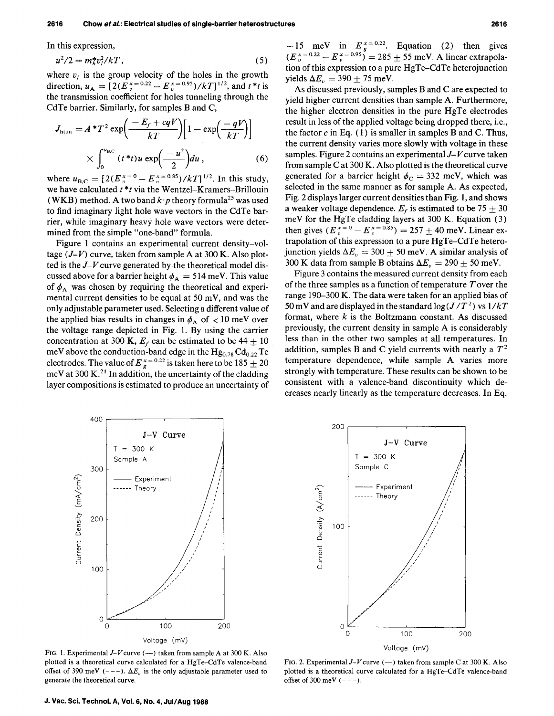In this expression,

$$
u^2/2 = m_h^* v_l^2 / kT, \t\t(5)
$$

where  $v_i$  is the group velocity of the holes in the growth direction,  $u_A = [2(E_v^{x=0.22} - E_v^{x=0.95})/kT]^{1/2}$ , and  $t * t$  is the transmission coefficient for holes tunneling through the CdTe barrier. Similarly, for samples Band C,

$$
J_{\text{htun}} = A * T^2 \exp\left(\frac{-E_f + cqV}{kT}\right) \left[1 - \exp\left(\frac{-qV}{kT}\right)\right]
$$

$$
\times \int_0^{u_{\text{B,C}}} (t * t) u \exp\left(\frac{-u^2}{2}\right) du , \qquad (6)
$$

where  $u_{B,C} = [2(E_v^{x=0} - E_v^{x=0.85})/kT]^{1/2}$ . In this study, we have calculated *t \*t* via the Wentzel-Kramers-Brillouin (WKB) method. A two band  $k \cdot p$  theory formula<sup>25</sup> was used to find imaginary light hole wave vectors in the CdTe barrier, while imaginary heavy hole wave vectors were determined from the simple "one-band" formula.

Figure 1 contains an experimental current density-voltage  $(J-V)$  curve, taken from sample A at 300 K. Also plotted is the J-*V* curve generated by the theoretical model discussed above for a barrier height  $\phi_A = 514$  meV. This value of  $\phi_A$  was chosen by requiring the theoretical and experimental current densities to be equal at 50 mV, and was the only adjustable parameter used. Selecting a different value of the applied bias results in changes in  $\phi_A$  of  $\lt 10$  meV over the voltage range depicted in Fig. 1. By using the carrier concentration at 300 K,  $E_f$  can be estimated to be 44  $\pm$  10 meV above the conduction-band edge in the  ${ {\rm Hg_{0.78}~Cd_{0.22}T} e}$ electrodes. The value of  $E_{g}^{x=0.22}$  is taken here to be 185  $\pm$  20 meV at  $300 \text{ K.}^{21}$  In addition, the uncertainty of the cladding layer compositions is estimated to produce an uncertainty of

~15 meV in  $E_g^{x=0.22}$ . Equation (2) then gives  $(E_{v}^{x = 0.22} - E_{v}^{x = 0.95}) = 285 \pm 55$  meV. A linear extrapolation of this expression to a pure HgTe-CdTe heterojunction yields  $\Delta E_n = 390 \pm 75$  meV.

As discussed previously, samples Band Care expected to yield higher current densities than sample A. Furthermore, the higher electron densities in the pure HgTe electrodes result in less of the applied voltage being dropped there, i.e., the factor  $c$  in Eq.  $(1)$  is smaller in samples B and C. Thus, the current density varies more slowly with voltage in these samples. Figure 2 contains an experimental J- *V* curve taken from sample Cat 300 K. Also plotted is the theoretical curve generated for a barrier height  $\phi_C = 332$  meV, which was selected in the same manner as for sample A. As expected, Fig. 2 displays larger current densities than Fig. 1, and shows a weaker voltage dependence.  $E_f$  is estimated to be 75  $\pm$  30 meV for the HgTe cladding layers at 300 K. Equation (3) then gives  $(E_v^{x=0} - E_v^{x=0.85}) = 257 \pm 40$  meV. Linear extrapolation of this expression to a pure HgTe-CdTe heterojunction yields  $\Delta E_v = 300 \pm 50$  meV. A similar analysis of 300 K data from sample B obtains  $\Delta E_v = 290 \pm 50$  meV.

Figure 3 contains the measured current density from each of the three samples as a function of temperature  $T$  over the range 190-300 K. The data were taken for an applied bias of 50 mV and are displayed in the standard  $\log(J/T^2)$  vs  $1/kT$ format, where *k* is the Boltzmann constant. As discussed previously, the current density in sample A is considerably less than in the other two samples at all temperatures. In addition, samples B and C yield currents with nearly a  $T^2$ temperature dependence, while sample A varies more strongly with temperature. These results can be shown to be consistent with a valence-band discontinuity which decreases nearly linearly as the temperature decreases. In Eq.



FIG. 1. Experimental  $J-V$  curve (--) taken from sample A at 300 K. Also plotted is a theoretical curve calculated for a HgTe-CdTe valence-band offset of 390 meV  $(--1)$ .  $\Delta E_v$  is the only adjustable parameter used to generate the theoretical curve.



FIG. 2. Experimental  $J-V$  curve (-) taken from sample C at 300 K. Also plotted is a theoretical curve calculated for a HgTe-CdTe valence-band offset of 300 meV  $(- - -)$ .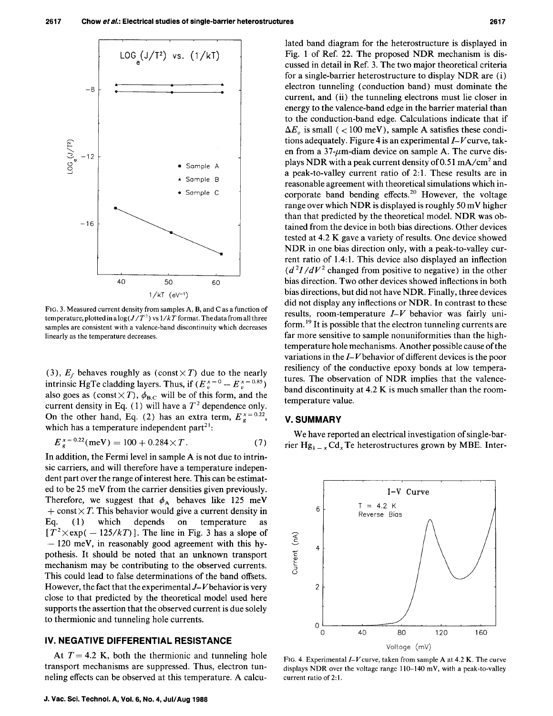

FIG. 3. Measured current density from samples A, B, and C as a function of temperature, plotted in a  $\log(J/T^2)$  vs  $1/kT$  format. The data from all three samples are consistent with a valence-band discontinuity which decreases linearly as the temperature decreases.

(3),  $E_f$  behaves roughly as (const $\times T$ ) due to the nearly intrinsic HgTe cladding layers. Thus, if  $(E_v^{x=0} - E_v^{x=0.85})$ also goes as (const $\times T$ ),  $\phi_{B,C}$  will be of this form, and the current density in Eq. (1) will have a  $T^2$  dependence only. On the other hand, Eq. (2) has an extra term,  $E_{g}^{x=0.22}$ , which has a temperature independent part $2<sup>1</sup>$ :

$$
E_{g}^{x=0.22}(\text{meV}) = 100 + 0.284 \times T.
$$
 (7)

In addition, the Fermi level in sample A is not due to intrinsic carriers, and will therefore have a temperature independent part over the range of interest here. This can be estimated to be 25 meV from the carrier densities given previously. Therefore, we suggest that  $\phi_A$  behaves like 125 meV  $+$  const  $\times T$ . This behavior would give a current density in Eq. ( 1) which depends on temperature as  $[T^2 \times \exp(-125/kT)]$ . The line in Fig. 3 has a slope of  $-120$  meV, in reasonably good agreement with this hypothesis. It should be noted that an unknown transport mechanism may be contributing to the observed currents. This could lead to false determinations of the band offsets. However, the fact that the experimental  $J-V$  behavior is very close to that predicted by the theoretical model used here supports the assertion that the observed current is due solely to thermionic and tunneling hole currents.

## IV. **NEGATIVE DIFFERENTIAL RESISTANCE**

At  $T = 4.2$  K, both the thermionic and tunneling hole transport mechanisms are suppressed. Thus, electron tunneling effects can be observed at this temperature. A calculated band diagram for the heterostructure is displayed in Fig. 1 of Ref. 22. The proposed NDR mechanism is discussed in detail in Ref. 3. The two major theoretical criteria for a single-barrier heterostructure to display NDR are (i) electron tunneling (conduction band) must dominate the current, and (ii) the tunneling electrons must lie closer in energy to the valence-band edge in the barrier material than to the conduction-band edge. Calculations indicate that if  $\Delta E_v$  is small ( < 100 meV), sample A satisfies these conditions adequately. Figure 4 is an experimental *I-V* curve, taken from a  $37$ - $\mu$ m-diam device on sample A. The curve displays NDR with a peak current density of 0.51 mA/cm<sup>2</sup> and a peak-to-valley current ratio of 2:1. These results are in reasonable agreement with theoretical simulations which incorporate band bending effects.<sup>20</sup> However, the voltage range over which NDR is displayed is roughly 50 mV higher than that predicted by the theoretical model. NDR was obtained from the device in both bias directions. Other devices tested at 4.2 K gave a variety of results. One device showed NDR in one bias direction only, with a peak-to-valley current ratio of 1.4:1. This device also displayed an inflection  $(d^2I/dV^2)$  changed from positive to negative) in the other bias direction. Two other devices showed inflections in both bias directions, but did not have NDR. Finally, three devices did not display any inflections or NDR. In contrast to these results, room-temperature *I-V* behavior was fairly uniform.<sup>19</sup> It is possible that the electron tunneling currents are far more sensitive to sample nonuniformities than the hightemperature hole mechanisms. Another possible cause of the variations in the  $I-V$  behavior of different devices is the poor resiliency of the conductive epoxy bonds at low temperatures. The observation of NDR implies that the valenceband discontinuity at 4.2 K is much smaller than the roomtemperature value.

#### **V.SUMMARY**

We have reported an electrical investigation of single-barrier Hg<sub>1 – *x*</sub> Cd<sub>*x*</sub> Te heterostructures grown by MBE. Inter-



FIG. 4. Experimental  $I-V$  curve, taken from sample A at 4.2 K. The curve displays NDR over the voltage range 110-140 mY, with a peak-to-valley current ratio of 2:1.